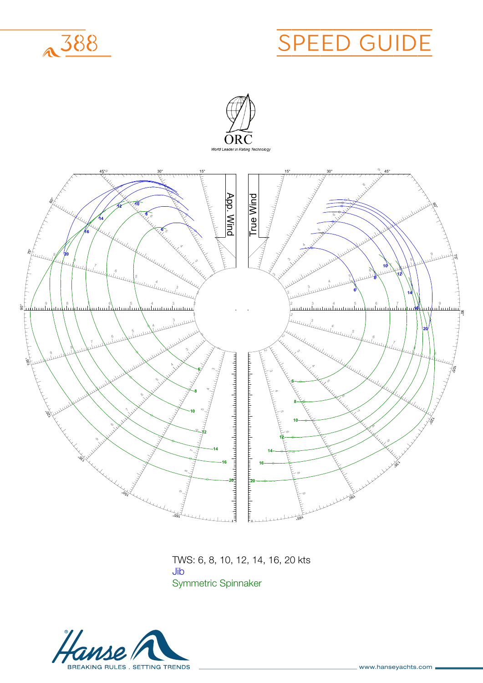

## HANSES<br>Hanses <u>) GUIDE</u> SPEED GUIDE





**TWS: 6, 8, 10, 12, 14, 16, 20 kts** TWS: 6, 8,  $T_{\text{N}}$ Syi **TWS: 6, 8, 10, 12, 14, 16, 20 kts** TWS: 6, 8, 10, 12, 14, 16, 20 kts **Jib Symmetric Spinnaker** Symmetric Spinnaker Jib

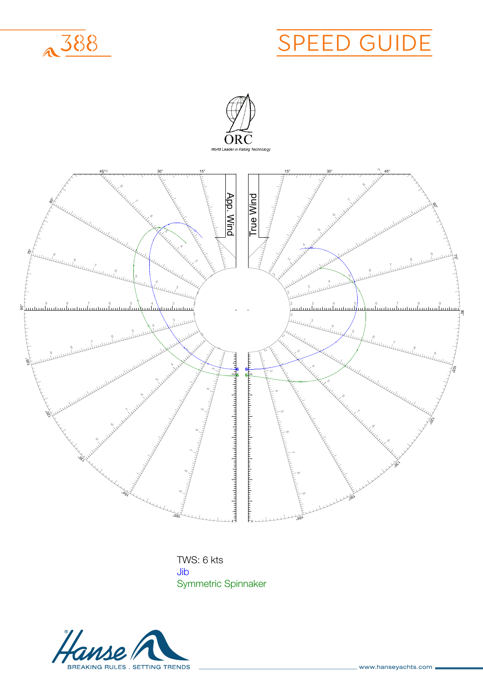



**The Sear** TWS: 6 kts  $\frac{1}{2}$ Syi **Jib Symmetric Spinnaker** Symmetric SpinnakerJib

**Jib**

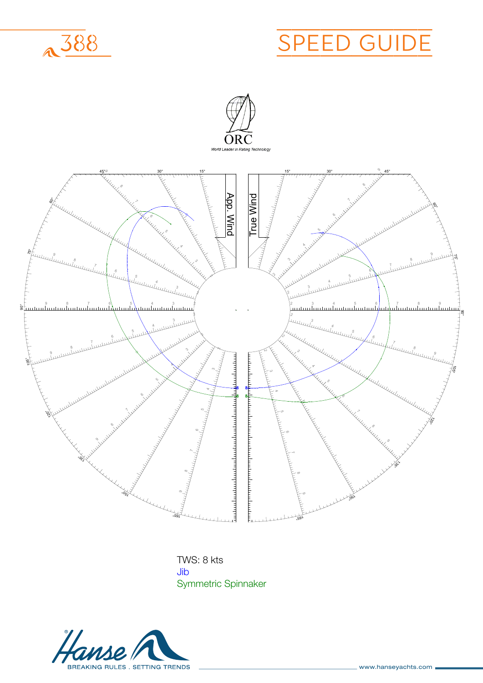





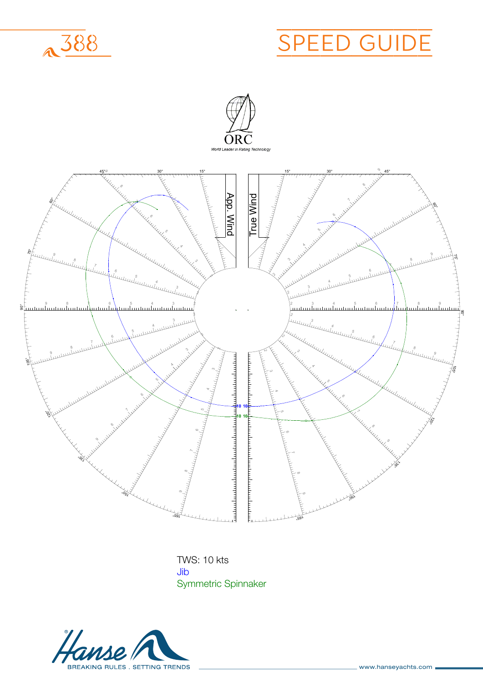



**The Two-maker Jib** TWS: 10 kts UID<br>... Syi **Jib Symmetric Spinnaker** Symmetric SpinnakerJib

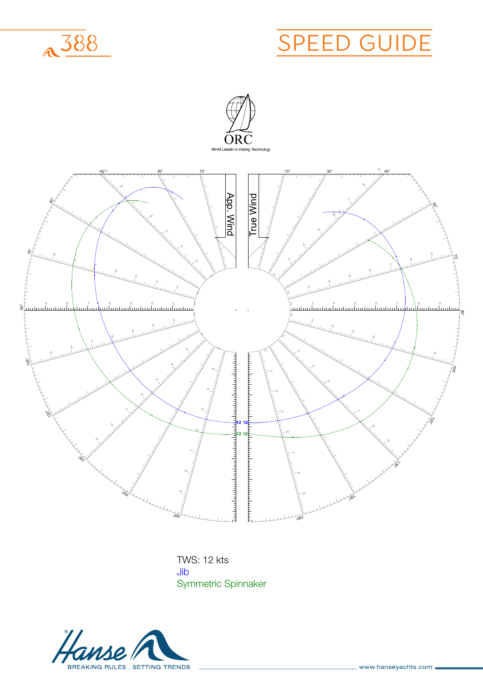



**The Two-maker** TWS: 12 kts UID<br>... Syi **Jib Symmetric Spinnaker** Symmetric SpinnakerJib

**Jib**

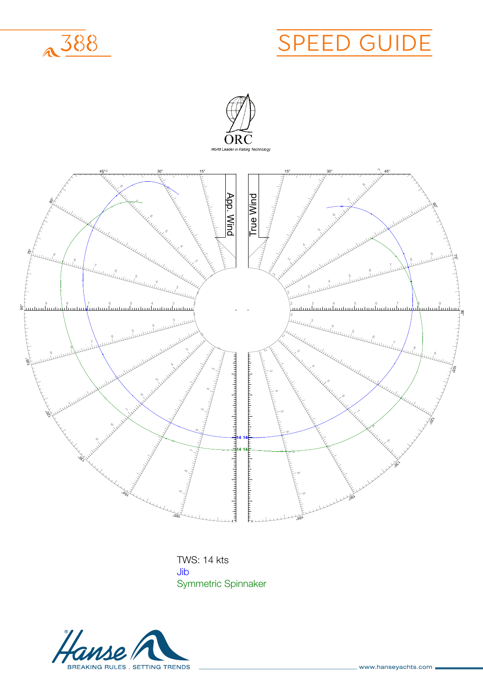



**The Two-maker Jib** TWS: 14 kts UID<br>. Syi **Jib Symmetric Spinnaker** Symmetric SpinnakerJib

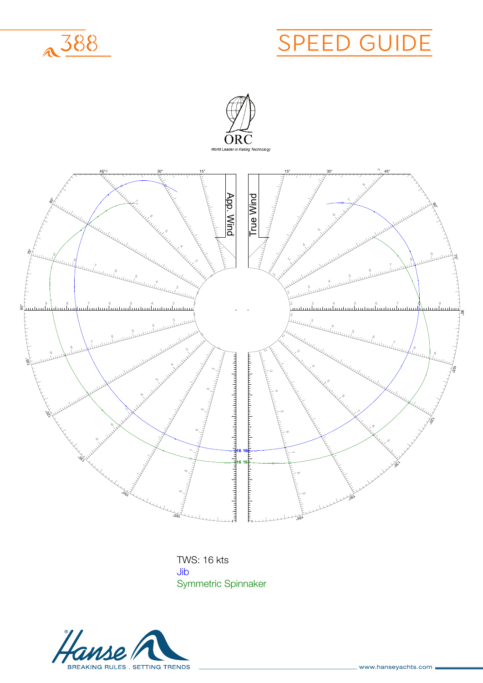



**The Two-maker** TWS: 16 kts UID<br>. Syi **Jib Symmetric Spinnaker** Symmetric SpinnakerJib

**Jib**